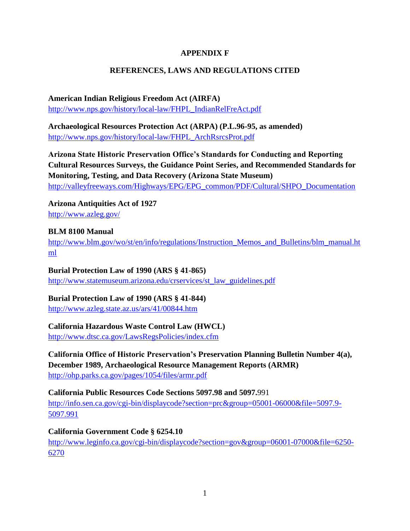#### **APPENDIX F**

## **REFERENCES, LAWS AND REGULATIONS CITED**

# **American Indian Religious Freedom Act (AIRFA)**

[http://www.nps.gov/history/local-law/FHPL\\_IndianRelFreAct.pdf](http://www.nps.gov/history/local-law/FHPL_IndianRelFreAct.pdf)

**Archaeological Resources Protection Act (ARPA) (P.L.96-95, as amended)** [http://www.nps.gov/history/local-law/FHPL\\_ArchRsrcsProt.pdf](http://www.nps.gov/history/local-law/FHPL_ArchRsrcsProt.pdf)

**Arizona State Historic Preservation Office's Standards for Conducting and Reporting Cultural Resources Surveys, the Guidance Point Series, and Recommended Standards for Monitoring, Testing, and Data Recovery (Arizona State Museum)** [http://valleyfreeways.com/Highways/EPG/EPG\\_common/PDF/Cultural/SHPO\\_Documentation](http://valleyfreeways.com/Highways/EPG/EPG_common/PDF/Cultural/SHPO_Documentation)

**Arizona Antiquities Act of 1927** <http://www.azleg.gov/>

## **BLM 8100 Manual**

[http://www.blm.gov/wo/st/en/info/regulations/Instruction\\_Memos\\_and\\_Bulletins/blm\\_manual.ht](http://www.blm.gov/wo/st/en/info/regulations/Instruction_Memos_and_Bulletins/blm_manual.html) [ml](http://www.blm.gov/wo/st/en/info/regulations/Instruction_Memos_and_Bulletins/blm_manual.html)

## **Burial Protection Law of 1990 (ARS § 41-865)**

[http://www.statemuseum.arizona.edu/crservices/st\\_law\\_guidelines.pdf](http://www.statemuseum.arizona.edu/crservices/st_law_guidelines.pdf)

## **Burial Protection Law of 1990 (ARS § 41-844)**

<http://www.azleg.state.az.us/ars/41/00844.htm>

## **California Hazardous Waste Control Law (HWCL)**

<http://www.dtsc.ca.gov/LawsRegsPolicies/index.cfm>

**California Office of Historic Preservation's Preservation Planning Bulletin Number 4(a), December 1989, Archaeological Resource Management Reports (ARMR)**  <http://ohp.parks.ca.gov/pages/1054/files/armr.pdf>

**California Public Resources Code Sections 5097.98 and 5097.**991

[http://info.sen.ca.gov/cgi-bin/displaycode?section=prc&group=05001-06000&file=5097.9-](http://info.sen.ca.gov/cgi-bin/displaycode?section=prc&group=05001-06000&file=5097.9-5097.991) [5097.991](http://info.sen.ca.gov/cgi-bin/displaycode?section=prc&group=05001-06000&file=5097.9-5097.991)

## **California Government Code § 6254.10**

[http://www.leginfo.ca.gov/cgi-bin/displaycode?section=gov&group=06001-07000&file=6250-](http://www.leginfo.ca.gov/cgi-bin/displaycode?section=gov&group=06001-07000&file=6250-6270) [6270](http://www.leginfo.ca.gov/cgi-bin/displaycode?section=gov&group=06001-07000&file=6250-6270)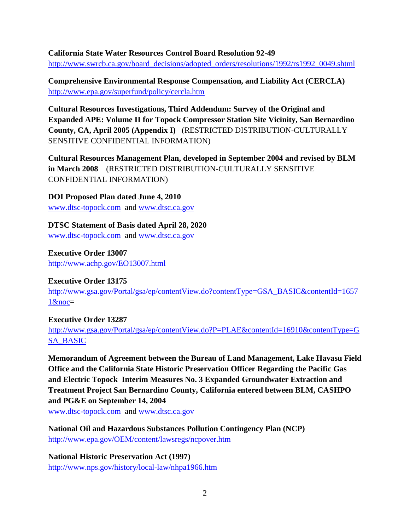#### **California State Water Resources Control Board Resolution 92-49**

[http://www.swrcb.ca.gov/board\\_decisions/adopted\\_orders/resolutions/1992/rs1992\\_0049.shtml](http://www.swrcb.ca.gov/board_decisions/adopted_orders/resolutions/1992/rs1992_0049.shtml)

**Comprehensive Environmental Response Compensation, and Liability Act (CERCLA)**  <http://www.epa.gov/superfund/policy/cercla.htm>

**Cultural Resources Investigations, Third Addendum: Survey of the Original and Expanded APE: Volume II for Topock Compressor Station Site Vicinity, San Bernardino County, CA, April 2005 (Appendix I)** (RESTRICTED DISTRIBUTION-CULTURALLY SENSITIVE CONFIDENTIAL INFORMATION)

**Cultural Resources Management Plan, developed in September 2004 and revised by BLM in March 2008** (RESTRICTED DISTRIBUTION-CULTURALLY SENSITIVE CONFIDENTIAL INFORMATION)

**DOI Proposed Plan dated June 4, 2010**  [www.dtsc-topock.com](http://www.dtsc-topock.com/) and [www.dtsc.ca.gov](http://www.dtsc.ca.gov/)

**DTSC Statement of Basis dated April 28, 2020** 

[www.dtsc-topock.com](http://www.dtsc-topock.com/) and [www.dtsc.ca.gov](http://www.dtsc.ca.gov/)

**Executive Order 13007**  <http://www.achp.gov/EO13007.html>

#### **Executive Order 13175**

[http://www.gsa.gov/Portal/gsa/ep/contentView.do?contentType=GSA\\_BASIC&contentId=1657](http://www.gsa.gov/Portal/gsa/ep/contentView.do?contentType=GSA_BASIC&contentId=16571&noc) [1&noc=](http://www.gsa.gov/Portal/gsa/ep/contentView.do?contentType=GSA_BASIC&contentId=16571&noc)

#### **Executive Order 13287**

[http://www.gsa.gov/Portal/gsa/ep/contentView.do?P=PLAE&contentId=16910&contentType=G](http://www.gsa.gov/Portal/gsa/ep/contentView.do?P=PLAE&contentId=16910&contentType=GSA_BASIC) [SA\\_BASIC](http://www.gsa.gov/Portal/gsa/ep/contentView.do?P=PLAE&contentId=16910&contentType=GSA_BASIC)

**Memorandum of Agreement between the Bureau of Land Management, Lake Havasu Field Office and the California State Historic Preservation Officer Regarding the Pacific Gas and Electric Topock Interim Measures No. 3 Expanded Groundwater Extraction and Treatment Project San Bernardino County, California entered between BLM, CASHPO and PG&E on September 14, 2004**  [www.dtsc-topock.com](http://www.dtsc-topock.com/) and [www.dtsc.ca.gov](http://www.dtsc.ca.gov/)

**National Oil and Hazardous Substances Pollution Contingency Plan (NCP)**  <http://www.epa.gov/OEM/content/lawsregs/ncpover.htm>

**National Historic Preservation Act (1997)**  <http://www.nps.gov/history/local-law/nhpa1966.htm>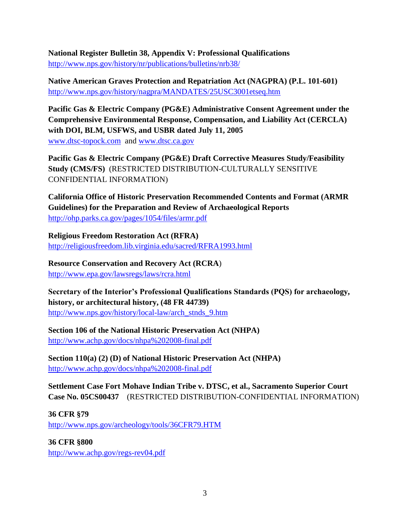**National Register Bulletin 38, Appendix V: Professional Qualifications**  <http://www.nps.gov/history/nr/publications/bulletins/nrb38/>

**Native American Graves Protection and Repatriation Act (NAGPRA) (P.L. 101-601)**  <http://www.nps.gov/history/nagpra/MANDATES/25USC3001etseq.htm>

**Pacific Gas & Electric Company (PG&E) Administrative Consent Agreement under the Comprehensive Environmental Response, Compensation, and Liability Act (CERCLA) with DOI, BLM, USFWS, and USBR dated July 11, 2005**  [www.dtsc-topock.com](http://www.dtsc-topock.com/) and [www.dtsc.ca.gov](http://www.dtsc.ca.gov/)

**Pacific Gas & Electric Company (PG&E) Draft Corrective Measures Study/Feasibility Study (CMS/FS)** (RESTRICTED DISTRIBUTION-CULTURALLY SENSITIVE CONFIDENTIAL INFORMATION)

**California Office of Historic Preservation Recommended Contents and Format (ARMR Guidelines) for the Preparation and Review of Archaeological Reports**  <http://ohp.parks.ca.gov/pages/1054/files/armr.pdf>

**Religious Freedom Restoration Act (RFRA)**  <http://religiousfreedom.lib.virginia.edu/sacred/RFRA1993.html>

**Resource Conservation and Recovery Act (RCRA**) <http://www.epa.gov/lawsregs/laws/rcra.html>

**Secretary of the Interior's Professional Qualifications Standards (PQS) for archaeology, history, or architectural history, (48 FR 44739)**  [http://www.nps.gov/history/local-law/arch\\_stnds\\_9.htm](http://www.nps.gov/history/local-law/arch_stnds_9.htm)

**Section 106 of the National Historic Preservation Act (NHPA)**  <http://www.achp.gov/docs/nhpa%202008-final.pdf>

**Section 110(a) (2) (D) of National Historic Preservation Act (NHPA)**  <http://www.achp.gov/docs/nhpa%202008-final.pdf>

**Settlement Case Fort Mohave Indian Tribe v. DTSC, et al., Sacramento Superior Court Case No. 05CS00437** (RESTRICTED DISTRIBUTION-CONFIDENTIAL INFORMATION)

**36 CFR §79**  <http://www.nps.gov/archeology/tools/36CFR79.HTM>

**36 CFR §800** 

<http://www.achp.gov/regs-rev04.pdf>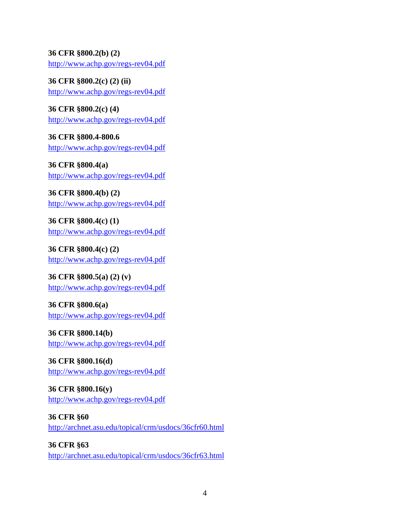## **36 CFR §800.2(b) (2)**

<http://www.achp.gov/regs-rev04.pdf>

**36 CFR §800.2(c) (2) (ii)**  <http://www.achp.gov/regs-rev04.pdf>

**36 CFR §800.2(c) (4)**  <http://www.achp.gov/regs-rev04.pdf>

**36 CFR §800.4-800.6**  <http://www.achp.gov/regs-rev04.pdf>

**36 CFR §800.4(a)**  <http://www.achp.gov/regs-rev04.pdf>

**36 CFR §800.4(b) (2)**  <http://www.achp.gov/regs-rev04.pdf>

**36 CFR §800.4(c) (1)**  <http://www.achp.gov/regs-rev04.pdf>

**36 CFR §800.4(c) (2)**  <http://www.achp.gov/regs-rev04.pdf>

**36 CFR §800.5(a) (2) (v)**  <http://www.achp.gov/regs-rev04.pdf>

**36 CFR §800.6(a)**  <http://www.achp.gov/regs-rev04.pdf>

**36 CFR §800.14(b)**  <http://www.achp.gov/regs-rev04.pdf>

**36 CFR §800.16(d)**  <http://www.achp.gov/regs-rev04.pdf>

**36 CFR §800.16(y)**  <http://www.achp.gov/regs-rev04.pdf>

**36 CFR §60**  <http://archnet.asu.edu/topical/crm/usdocs/36cfr60.html>

**36 CFR §63**  <http://archnet.asu.edu/topical/crm/usdocs/36cfr63.html>